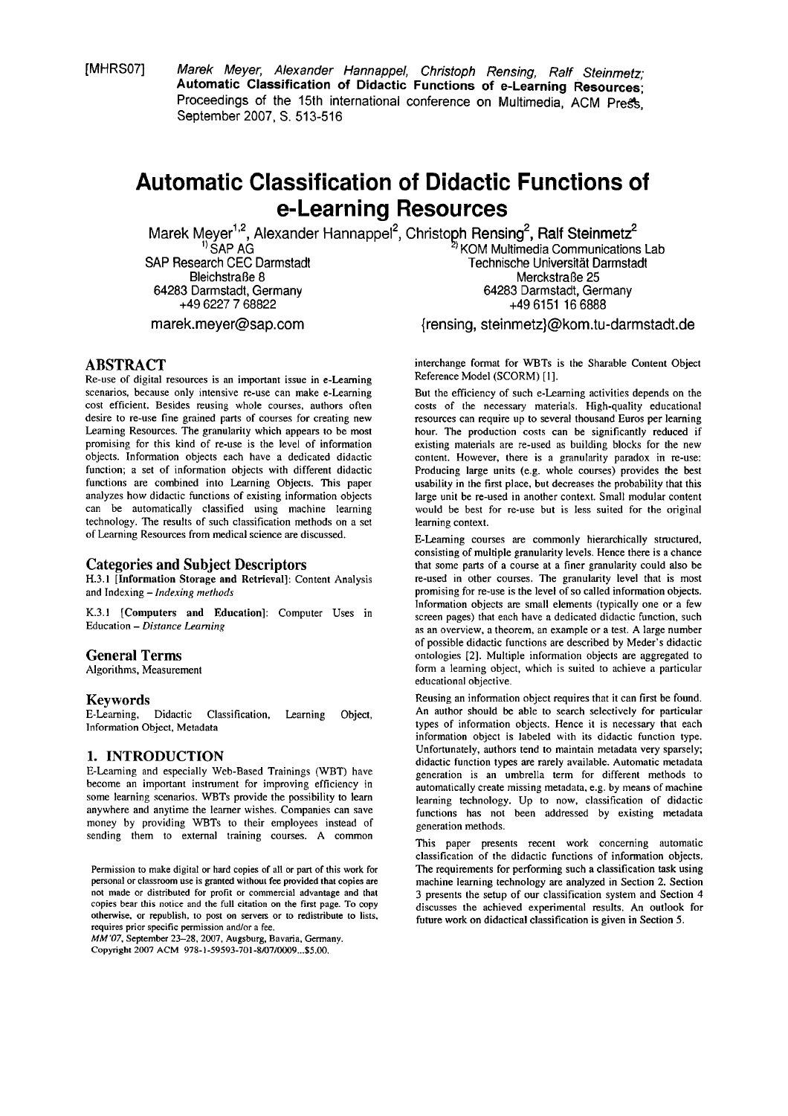[MHRSO7] Marek Meyer, Alexander Hannappel, Christoph Rensing, Ralf Steinmetz; **Automatic Classification of Didactic Functions of e-Learning Resources;**  Proceedings of the 15th international conference on Multimedia, ACM Press, September 2007, S. 513-516

# **Automatic Classification of Didactic Functions of e-Learning Resources**

Marek Meyer<sup>1,2</sup>, Alexander Hannappel<sup>2</sup>, Christo**ph Rensing<sup>2</sup>, Ralf Steinmetz<sup>2</sup>**<br>KOM Multimedia Communications <sup>1)</sup> SAP AG <sup>1</sup><br>SAP Research CEC Darmstadt **1990 Technische Universität Darmstadt** 1990 SAP Research CEC Darmstadt search CEC Darmstadt and Technische Universität Darmstadt<br>Bleichstraße 8 der Merckstraße 25 Merckstraße 25<br>64283 Darmstadt, Germany 64283 Darmstadt, Germany 64283 Darmstadt, Germany +49 6151 16 6888

**ABSTRACT** 

Re-use of digital resources is an important issue in e-Learning scenarios, because only intensive re-use can make e-Learning cost efficient. Besides reusing whole courses, authors often desire to re-use fine grained parts of courses for creating new Learning Resources. The granularity which appears to be most promising for this kind of re-use is the level of information objects. Information objects each have a dedicated didactic function; a set of information objects with different didactic functions are combined into Learning Objects. This paper analyzes how didactic functions of existing information objects can be automatically classified using machine learning technology. The results of such classification methods on a set of Learning Resources from medical science are discussed.

# **Categories and Subject Descriptors**

**H.).** I [Information Storage and Retrieval]: Content Analysis and Indexing - *Indexing methods* 

K.3.1 [Computers and Education]: Computer Uses in Education - *Disinnce Leaming* 

# **General Terms**

Algorithms, Measurement

# **Keywords**

E-Learning, Didactic Classification, Learning Object, Information Object, Metadata

# **1. INTRODUCTION**

E-Learning and especially Web-Based Trainings (WBT) have become an important instrument for improving efficiency in some learning scenarios. WBTs provide the possibility to learn anywhere and anytime the learner wishes. Companies can save money by providing WBTs to their employees instead of sending them to external training courses. A common

*MM'07,* September **23-28.2007.** Augsburg, Bavaria. Germany. Copyright 2007 ACM 978- 1-59593-701 -8107/0009...\$5.00.

marek.meyer@sap.com {rensing, steinmetz}@kom.tu-darmstadt.de

interchange format for WBTs is the Sharable Content Object Reference Model (SCORM) [I].

But the efficiency of such e-Learning activities depends on the costs of the necessary materials. High-quality educational resources can require up to several thousand Euros per learning hour. The production costs can be significantly reduced if existing materials are re-used as building blocks for the new content. However, there is a granularity paradox in re-use: Producing large units (e.g. whole courses) provides the best usability in the first place, but decreases the probability that this large unit be re-used in another context. Small modular content would be best for re-use but is less suited for the original learning context.

E-Learning courses are commonly hierarchically stmctured, consisting of multiple granularity levels. Hence there is a chance that some parts of a Course at a finer granularity could also be re-used in otber courses. The granularity level that is most promising for re-use is the level of so called information objects. Information objects are small elements (typically one or a few screen pages) that each have a dedicated didactic function, such as an overview, a theorem. an example or a test. **A** large number of possible didactic functions are described by Meder's didactic ontologies [2]. Multiple information objects are aggregated to form a learning object, which is suited to achieve a particular educational objective.

Reusing an information object requires that it can first be found. **An** author should **be** able to search selectively for particular types of information objects. Hence it is necessary that each information object is labeled with its didactic function type. Unfortunately, authors tend to maintain metadata very sparsely; didactic function types are rarely available. Automatic metadata generation is an umbrella term for different methods to automatically create missing metadata, e.g. by means of machine learning technology. Up to now, classification of didactic functions has not been addressed by existing metadata generation methods.

This paper presents recent work concerning automatic classification of the didactic functions of information objects. The requirements for performing such a classification task using machine learning technology are analyzed in Section 2. Section 3 presents the setup of our classification system and Section 4 discusses the achieved experimental results. An outlook for future work on didactical classification is given in Section 5.

Permission to make digital or hard copies of all or part of this work for personal or classroom use is granted without fee provided that copies are not made or distributed for profit or commercial advantage and that copies bear this notice and the full citation on the first page. To copy otherwise, or republish. to post on Servers or to redistribute to lists. requires prior specific permission and/or a fee.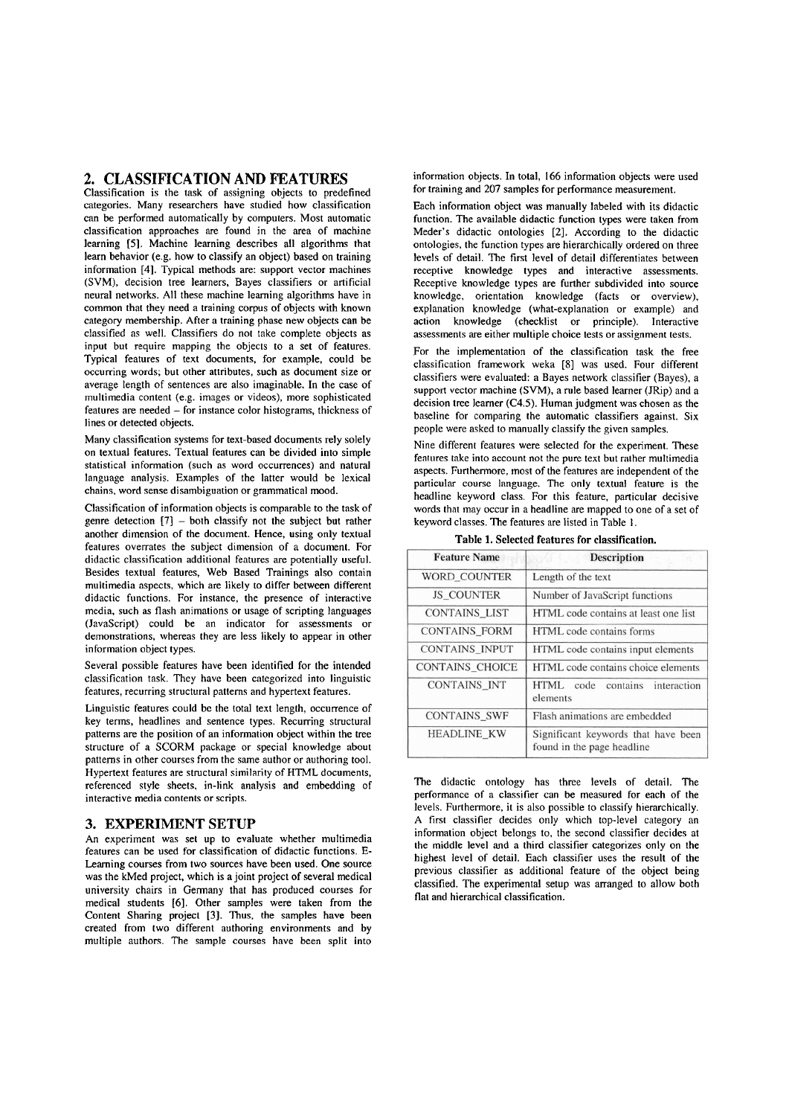#### **2. CLASSIFICATION AND FEATURES**

Classification is the task of assigning objects to predefined categories. Many researchers have studied how classification can be performed automatically by Computers. Most automatic classification approaches **are** found in the area of machjne learning *[5].* Machine learning describes all algorithms that learn behavior (e.g. how to classify an object) based on training information [4]. Typical methods are: support vector machines (SVM), decision tree learners, Bayes classifiers or artificial neural networks. All these machine learning algorithms have in common that they need a training corpus of objects with known category membership. After a training phase new objects can be classified as well. Classifiers do not take complete objects as input but require mapping the objects to a set of features. Typical features of text documents, for example, could be occurring words; but other attributes. such as document size or average length of sentences are also imaginable. In the case of multimedia content (e.g. images or videos), more sophisticated features are needed - for instance color histograms, thickness of lines or detected objects.

Many classification Systems for text-based documents rely solely on textual features. Textual features can be divided into simple statistical information (such as word occurrences) and natural language analysis. Examples of the latter would be lexical chains. word sense disambiguation or grammatical mood.

Classification of information objects is comparable to the task of genre detection  $[7]$  – both classify not the subject but rather another dimension of the document. Hence, using only textual features overrates the subject dirnension of a document. For didactic classification additional features are potentially useful. Besides textual features, Web Based Trainings also contain multimedia aspects, which are likely to differ between different didactic functions. For instance, the presence of interactive media, such as flash animations or usage of scripting languages (JavaScript) could be an indicator for assessments or demonstrations, whereas they are less likely to appear in other information object types.

Several possible features have been identified for the intended classification task. They have been categorized into linguistic features, recurring structural patterns and hypertext features.

Linguistic features could bc the total text length, occurrence of key terms, headlines and sentence types. Recurring structural patterns are the position of an information object within the tree structure of a SCORM package or Special knowledge about patterns in other courses from the same author or authoring tool. Hypertext features are stmctural sirnilarity of HTML documents, referenced style sheets, in-link analysis and embedding of interactive media contenis or scripts.

# **3. EXPERIMENT SETUP**

**An** experiment was sei up to evaluate whether multimedia features can be used for classification of didactic functions. **E-**Learning courses from two sources have been used. One source was the kMed project, which is a joint project of several medical university chairs in Germany that has produced courses for medical students [6]. Other samples were taken from the Content Sharing project **[3].** Thus, the samples have been created from two different authoring environments and by multiple authors. The sample courses have been split into information objects. In total, 166 information objects were used for training and 207 samples for performance measurement.

Each information object was manually labeled with its didactic function. The available didactic function types were taken from Meder's didactic ontologies [2]. According to the didactic ontologies, the function types are hierarchically ordered on three levels of detail. The first level of detail differentiates between receptive knowledge types and interactive assessments. Receptive knowledge types are further subdivided into source knowledge. orientation knowledge (facts or overview), explanation knowledge (what-explanation or example) and action knowledge (checklist or principle). Interactive assessments **are** either multiple choice tests or assignment tests.

For the implementation of the classification task the free classification framework weka [8] was used. Four different classifiers were evaluated: a Bayes network classifier (Bayes), a support vector machine (SVM), a rule based learner (JRip) and a decision tree learner (C4.5). Human judgment was chosen as the baseline for comparing the automatic classifiers against. Six people were asked to manually classify the given samples.

Nine different features were selected for the experiment. These features take into account not the pure text but rather multimedia aspects. Furthennore, most of the features are independent of the particular Course language. The only textual feature is the headline keyword class. For this feature, particular decisive words that may occur in a headline are mapped to one of a set of keyword classes. The features are listed in Table 1.

| <b>Feature Name</b>    | <b>Description</b><br>조화 보기                                       |
|------------------------|-------------------------------------------------------------------|
| <b>WORD COUNTER</b>    | Length of the text                                                |
| <b>JS COUNTER</b>      | Number of JavaScript functions                                    |
| <b>CONTAINS LIST</b>   | HTML code contains at least one list                              |
| <b>CONTAINS FORM</b>   | HTML code contains forms                                          |
| <b>CONTAINS INPUT</b>  | HTML code contains input elements                                 |
| <b>CONTAINS_CHOICE</b> | HTML code contains choice elements                                |
| <b>CONTAINS INT</b>    | HTML code contains<br>interaction<br>elements                     |
| <b>CONTAINS SWF</b>    | Flash animations are embedded                                     |
| <b>HEADLINE KW</b>     | Significant keywords that have been<br>found in the page headline |

Table **1.** Selected features for classification.

The didactic ontology has three levels of detail. The performance of a classifier can be measured for each of the levels. Furthermore, it is also possible to classify hierarchically. A firsi classifier decides only which top-level category an information object belongs to, the second classifier decides at the middle level and a third classifier categorizes only on the highest level of detail. Each classifier uses the result of the previous classifier as additional feature of the object being classified. The experimental setup was arranged to allow both flat and hierarchical classification.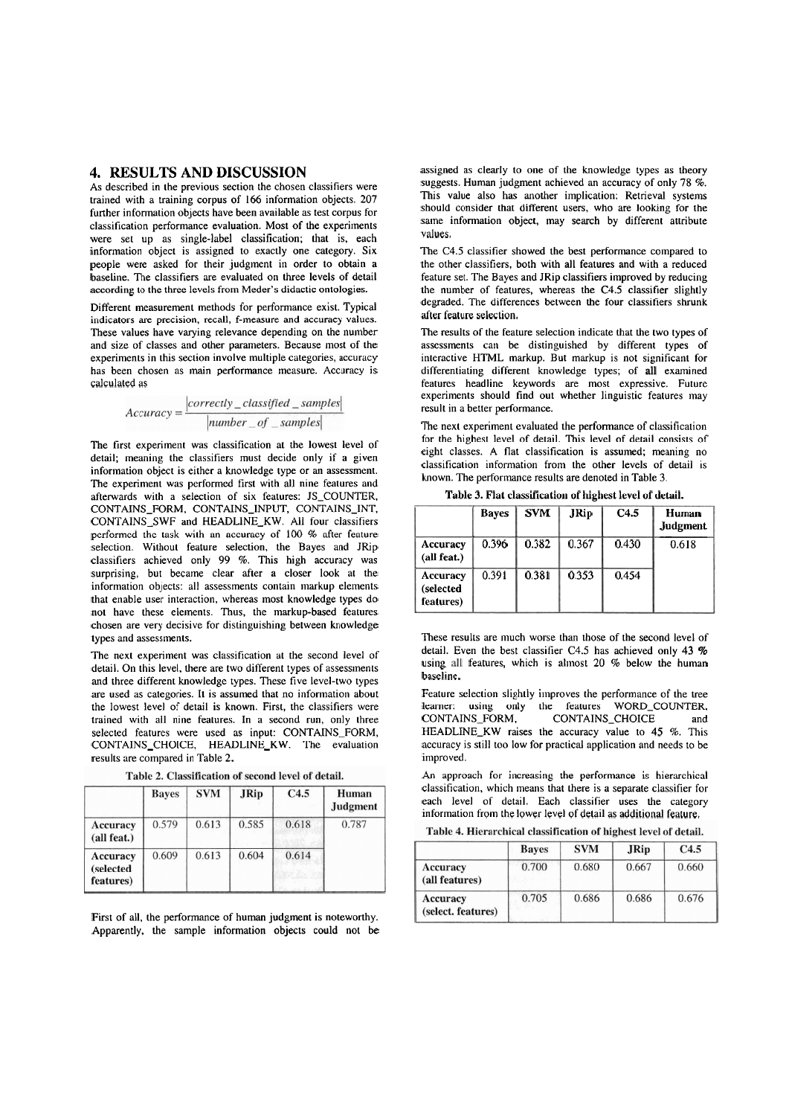# 4. RESULTS AND DISCUSSION

As described in the previous section the chosen classifiers were trained with a training corpus of 166 information objects. 207 further information objects have been available as test corpus for classification performance evaluation. Most of the experiments were set up as single-label classification; that is, each information object is assigned to exactly one category. Six people were asked for their judgment in order to obtain a baseline. The classifiers are evaluated on three levels of detail according to the three levels from Meder's didactic ontologies.

Different measurement methods for performance exist. Typical indicators are precision, recall, f-measure and accuracy values. These values have varying relevance depending on the number and size of classes and other parameters. Because most of the experiments in this section involve multiple categories, accuracy has been chosen as main performance measure. Accuracy is calculated as

$$
Accuracy = \frac{|correctly\_classified\_samples|}{|number\_of\_samples|}
$$

The first experiment was classification at the lowest level of detail; meaning the classifiers must decide only if a given information object is either a knowledge type or an assessment. The experiment was performed first with all nine features and afterwards with a selection of six features: JS\_COUNTER, CONTAINS\_FORM, CONTAINS\_INPUT, CONTAINS\_INT, CONTAINS\_SWF and HEADLINE\_KW. All four classifiers performed the task with an accuracy of 100 % after feature selection. Without feature selection, the Bayes and JRip classifiers achieved only 99 %. This high accuracy was surprising, but became clear after a closer look at the information objects: all assessments contain markup elements that enable user interaction, whereas most knowledge types do not have these elements. Thus, the markup-based features chosen are very decisive for distinguishing between knowledge types and assessments.

The next experiment was classification at the second level of detail. On this level, there are two different types of assessments and three different knowledge types. These five level-two types are used as categories. It is assumed that no information about the lowest level of detail is known. First, the classifiers were trained with all nine features. In a second run, only three selected features were used as input: CONTAINS\_FORM, CONTAINS\_CHOICE, HEADLINE\_KW. The evaluation results are compared in Table 2.

|                                           | <b>Bayes</b> | <b>SVM</b> | <b>JRip</b> | C4.5  | Human<br><b>Judgment</b> |
|-------------------------------------------|--------------|------------|-------------|-------|--------------------------|
| <b>Accuracy</b><br>(all feat.)            | 0.579        | 0.613      | 0.585       | 0.618 | 0.787                    |
| <b>Accuracy</b><br>(selected<br>features) | 0.609        | 0.613      | 0.604       | 0.614 |                          |

Table 2. Classification of second level of detail.

First of all, the performance of human judgment is noteworthy. Apparently, the sample information objects could not be assigned as clearly to one of the knowledge types as theory suggests. Human judgment achieved an accuracy of only 78 %. This value also has another implication: Retrieval systems should consider that different users, who are looking for the same information object, may search by different attribute values.

The C4.5 classifier showed the best performance compared to the other classifiers, both with all features and with a reduced feature set. The Bayes and JRip classifiers improved by reducing the number of features, whereas the C4.5 classifier slightly degraded. The differences between the four classifiers shrunk after feature selection.

The results of the feature selection indicate that the two types of assessments can be distinguished by different types of interactive HTML markup. But markup is not significant for differentiating different knowledge types; of all examined features headline keywords are most expressive. Future experiments should find out whether linguistic features may result in a better performance.

The next experiment evaluated the performance of classification for the highest level of detail. This level of detail consists of eight classes. A flat classification is assumed; meaning no classification information from the other levels of detail is known. The performance results are denoted in Table 3.

| Table 3. Flat classification of highest level of detail. |  |  |  |  |  |  |  |  |  |
|----------------------------------------------------------|--|--|--|--|--|--|--|--|--|
|----------------------------------------------------------|--|--|--|--|--|--|--|--|--|

|                                    | <b>Bayes</b> | <b>SVM</b> | JRip  | C4.5  | Human<br>Judgment |
|------------------------------------|--------------|------------|-------|-------|-------------------|
| Accuracy<br>(all feat.)            | 0.396        | 0.382      | 0.367 | 0.430 | 0.618             |
| Accuracy<br>(selected<br>features) | 0.391        | 0.381      | 0.353 | 0.454 |                   |

These results are much worse than those of the second level of detail. Even the best classifier C4.5 has achieved only 43 % using all features, which is almost 20 % below the human baseline.

Feature selection slightly improves the performance of the tree learner: using only the features WORD\_COUNTER, CONTAINS CHOICE CONTAINS FORM. and HEADLINE\_KW raises the accuracy value to 45 %. This accuracy is still too low for practical application and needs to be improved.

An approach for increasing the performance is hierarchical classification, which means that there is a separate classifier for each level of detail. Each classifier uses the category information from the lower level of detail as additional feature.

Table 4. Hierarchical classification of highest level of detail.

|                                | <b>Bayes</b> | <b>SVM</b> | <b>JRip</b> | C4.5  |
|--------------------------------|--------------|------------|-------------|-------|
| Accuracy<br>(all features)     | 0.700        | 0.680      | 0.667       | 0.660 |
| Accuracy<br>(select. features) | 0.705        | 0.686      | 0.686       | 0.676 |